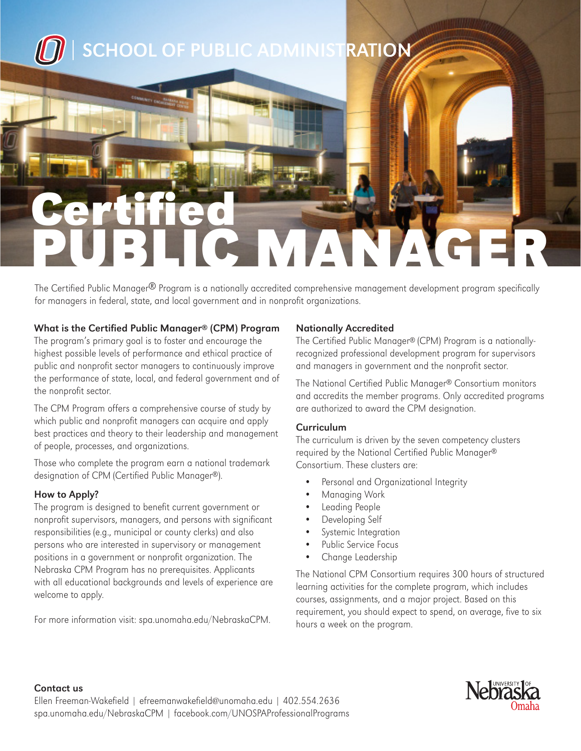

# PUBLIC MANAGER Certified

The Certified Public Manager® Program is a nationally accredited comprehensive management development program specifically for managers in federal, state, and local government and in nonprofit organizations.

### What is the Certified Public Manager® (CPM) Program

The program's primary goal is to foster and encourage the highest possible levels of performance and ethical practice of public and nonprofit sector managers to continuously improve the performance of state, local, and federal government and of the nonprofit sector.

The CPM Program offers a comprehensive course of study by which public and nonprofit managers can acquire and apply best practices and theory to their leadership and management of people, processes, and organizations.

Those who complete the program earn a national trademark designation of CPM (Certified Public Manager®).

#### How to Apply?

The program is designed to benefit current government or nonprofit supervisors, managers, and persons with significant responsibilities (e.g., municipal or county clerks) and also persons who are interested in supervisory or management positions in a government or nonprofit organization. The Nebraska CPM Program has no prerequisites. Applicants with all educational backgrounds and levels of experience are welcome to apply.

For more information visit: spa.unomaha.edu/NebraskaCPM.

#### Nationally Accredited

The Certified Public Manager® (CPM) Program is a nationallyrecognized professional development program for supervisors and managers in government and the nonprofit sector.

The National Certified Public Manager® Consortium monitors and accredits the member programs. Only accredited programs are authorized to award the CPM designation.

### **Curriculum**

The curriculum is driven by the seven competency clusters required by the National Certified Public Manager® Consortium. These clusters are:

- Personal and Organizational Integrity
- Managing Work
- Leading People
- Developing Self
- Systemic Integration
- Public Service Focus
- Change Leadership

The National CPM Consortium requires 300 hours of structured learning activities for the complete program, which includes courses, assignments, and a major project. Based on this requirement, you should expect to spend, on average, five to six hours a week on the program.